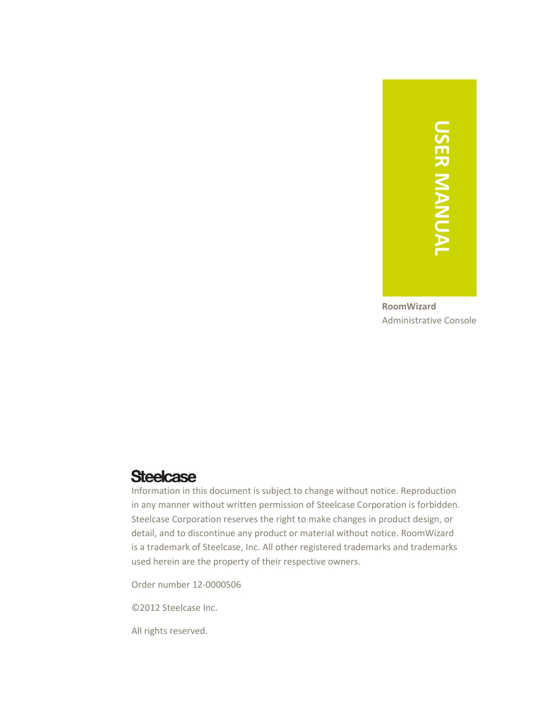# **USER MANUAL USER MANUAL**

**RoomWizard** Administrative Console

# **Steelcase**

Information in this document is subject to change without notice. Reproduction in any manner without written permission of Steelcase Corporation is forbidden. Steelcase Corporation reserves the right to make changes in product design, or detail, and to discontinue any product or material without notice. RoomWizard is a trademark of Steelcase, Inc. All other registered trademarks and trademarks used herein are the property of their respective owners.

Order number 12-0000506

©2012 Steelcase Inc.

All rights reserved.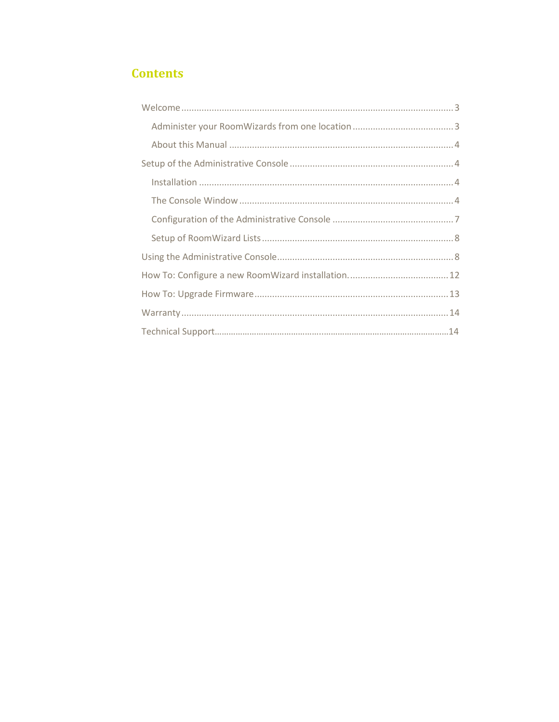# **Contents**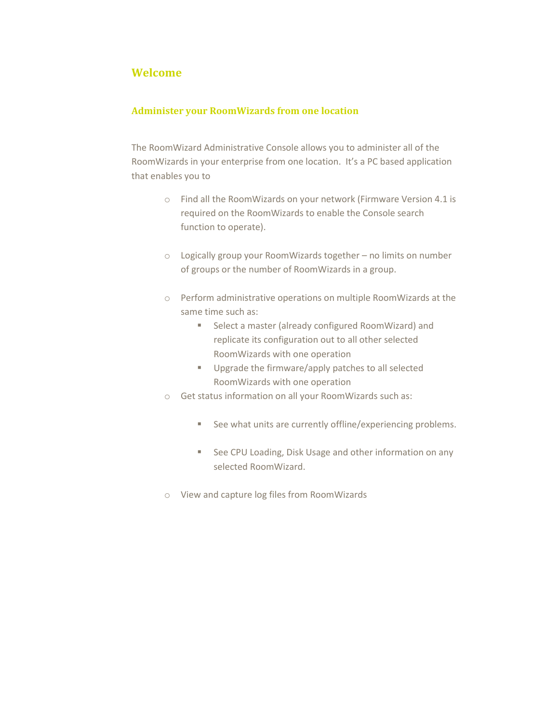# <span id="page-2-0"></span>**Welcome**

### <span id="page-2-1"></span>**Administer your RoomWizards from one location**

The RoomWizard Administrative Console allows you to administer all of the RoomWizards in your enterprise from one location. It's a PC based application that enables you to

- o Find all the RoomWizards on your network (Firmware Version 4.1 is required on the RoomWizards to enable the Console search function to operate).
- o Logically group your RoomWizards together no limits on number of groups or the number of RoomWizards in a group.
- o Perform administrative operations on multiple RoomWizards at the same time such as:
	- Select a master (already configured RoomWizard) and replicate its configuration out to all other selected RoomWizards with one operation
	- **Upgrade the firmware/apply patches to all selected** RoomWizards with one operation
- o Get status information on all your RoomWizards such as:
	- See what units are currently offline/experiencing problems.
	- See CPU Loading, Disk Usage and other information on any selected RoomWizard.
- o View and capture log files from RoomWizards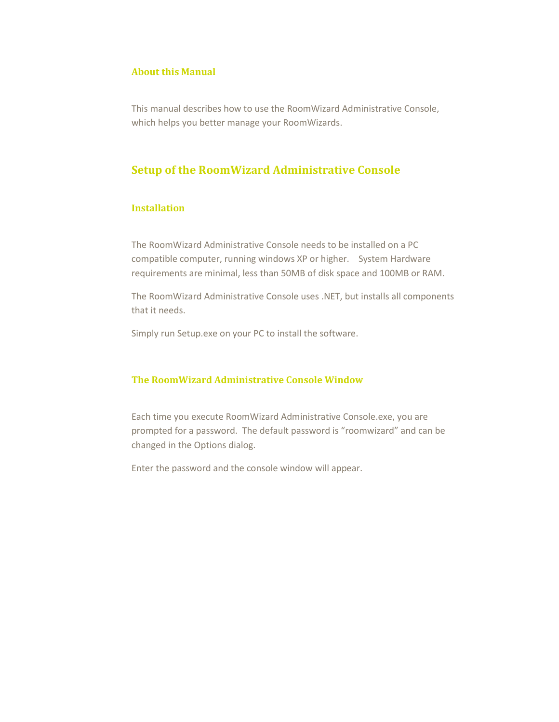### <span id="page-3-0"></span>**About this Manual**

This manual describes how to use the RoomWizard Administrative Console, which helps you better manage your RoomWizards.

# <span id="page-3-1"></span>**Setup of the RoomWizard Administrative Console**

### <span id="page-3-2"></span>**Installation**

The RoomWizard Administrative Console needs to be installed on a PC compatible computer, running windows XP or higher. System Hardware requirements are minimal, less than 50MB of disk space and 100MB or RAM.

The RoomWizard Administrative Console uses .NET, but installs all components that it needs.

Simply run Setup.exe on your PC to install the software.

### <span id="page-3-3"></span>**The RoomWizard Administrative Console Window**

Each time you execute RoomWizard Administrative Console.exe, you are prompted for a password. The default password is "roomwizard" and can be changed in the Options dialog.

Enter the password and the console window will appear.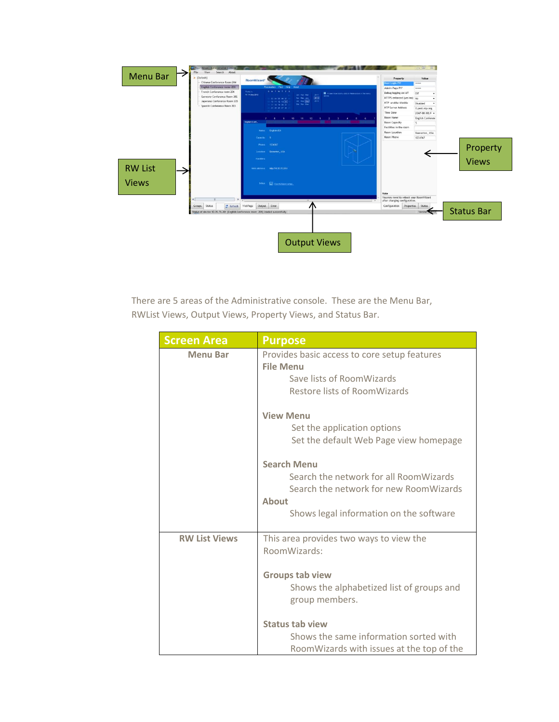

There are 5 areas of the Administrative console. These are the Menu Bar, RWList Views, Output Views, Property Views, and Status Bar.

| <b>Screen Area</b>   | <b>Purpose</b>                                                                                                                                                    |
|----------------------|-------------------------------------------------------------------------------------------------------------------------------------------------------------------|
| <b>Menu Bar</b>      | Provides basic access to core setup features<br><b>File Menu</b><br>Save lists of RoomWizards<br>Restore lists of RoomWizards                                     |
|                      | <b>View Menu</b><br>Set the application options<br>Set the default Web Page view homepage                                                                         |
|                      | <b>Search Menu</b><br>Search the network for all RoomWizards<br>Search the network for new RoomWizards<br><b>About</b><br>Shows legal information on the software |
| <b>RW List Views</b> | This area provides two ways to view the<br>RoomWizards:<br><b>Groups tab view</b><br>Shows the alphabetized list of groups and<br>group members.                  |
|                      | <b>Status tab view</b><br>Shows the same information sorted with<br>RoomWizards with issues at the top of the                                                     |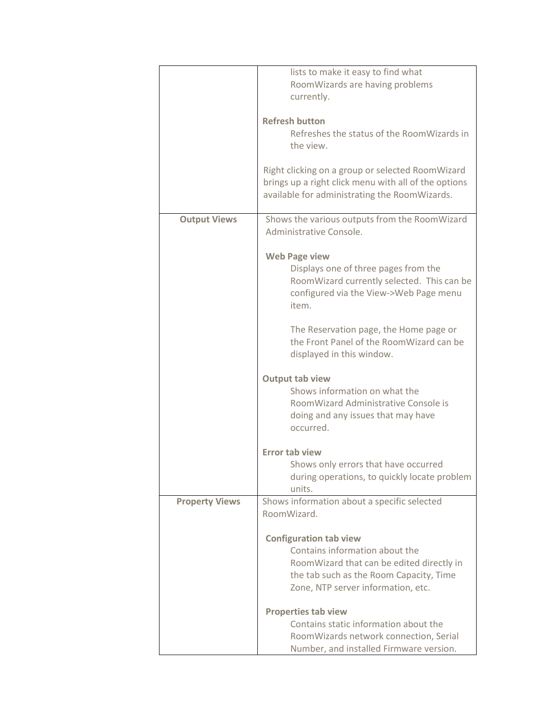|                       | lists to make it easy to find what                   |
|-----------------------|------------------------------------------------------|
|                       | RoomWizards are having problems                      |
|                       | currently.                                           |
|                       |                                                      |
|                       | <b>Refresh button</b>                                |
|                       | Refreshes the status of the RoomWizards in           |
|                       | the view.                                            |
|                       |                                                      |
|                       | Right clicking on a group or selected RoomWizard     |
|                       | brings up a right click menu with all of the options |
|                       | available for administrating the RoomWizards.        |
|                       |                                                      |
| <b>Output Views</b>   | Shows the various outputs from the RoomWizard        |
|                       | Administrative Console.                              |
|                       |                                                      |
|                       | <b>Web Page view</b>                                 |
|                       | Displays one of three pages from the                 |
|                       | RoomWizard currently selected. This can be           |
|                       | configured via the View->Web Page menu               |
|                       | item.                                                |
|                       |                                                      |
|                       | The Reservation page, the Home page or               |
|                       | the Front Panel of the RoomWizard can be             |
|                       |                                                      |
|                       | displayed in this window.                            |
|                       |                                                      |
|                       | Output tab view<br>Shows information on what the     |
|                       | RoomWizard Administrative Console is                 |
|                       |                                                      |
|                       | doing and any issues that may have                   |
|                       | occurred.                                            |
|                       |                                                      |
|                       | <b>Error tab view</b>                                |
|                       | Shows only errors that have occurred                 |
|                       | during operations, to quickly locate problem         |
|                       | units.                                               |
| <b>Property Views</b> | Shows information about a specific selected          |
|                       | RoomWizard.                                          |
|                       |                                                      |
|                       | <b>Configuration tab view</b>                        |
|                       | Contains information about the                       |
|                       | RoomWizard that can be edited directly in            |
|                       | the tab such as the Room Capacity, Time              |
|                       | Zone, NTP server information, etc.                   |
|                       |                                                      |
|                       | <b>Properties tab view</b>                           |
|                       | Contains static information about the                |
|                       | RoomWizards network connection, Serial               |
|                       | Number, and installed Firmware version.              |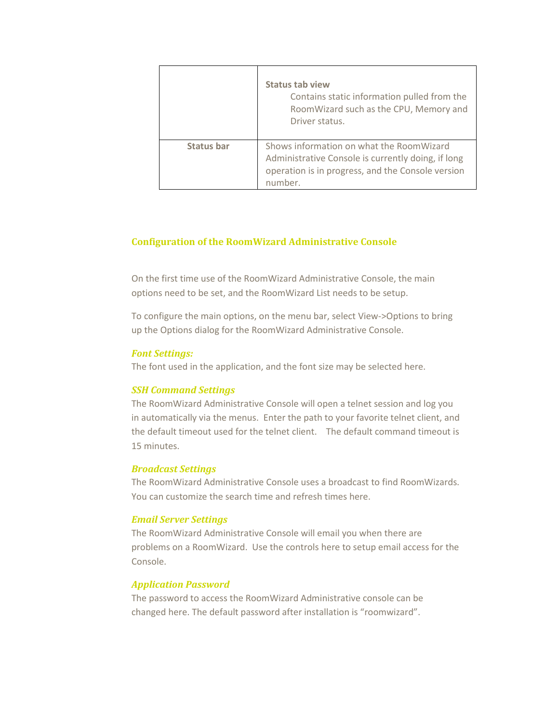|                   | <b>Status tab view</b><br>Contains static information pulled from the<br>RoomWizard such as the CPU, Memory and<br>Driver status.                              |
|-------------------|----------------------------------------------------------------------------------------------------------------------------------------------------------------|
| <b>Status bar</b> | Shows information on what the RoomWizard<br>Administrative Console is currently doing, if long<br>operation is in progress, and the Console version<br>number. |

### <span id="page-6-0"></span>**Configuration of the RoomWizard Administrative Console**

On the first time use of the RoomWizard Administrative Console, the main options need to be set, and the RoomWizard List needs to be setup.

To configure the main options, on the menu bar, select View->Options to bring up the Options dialog for the RoomWizard Administrative Console.

### *Font Settings:*

The font used in the application, and the font size may be selected here.

### *SSH Command Settings*

The RoomWizard Administrative Console will open a telnet session and log you in automatically via the menus. Enter the path to your favorite telnet client, and the default timeout used for the telnet client. The default command timeout is 15 minutes.

### *Broadcast Settings*

The RoomWizard Administrative Console uses a broadcast to find RoomWizards. You can customize the search time and refresh times here.

### *Email Server Settings*

The RoomWizard Administrative Console will email you when there are problems on a RoomWizard. Use the controls here to setup email access for the Console.

### *Application Password*

The password to access the RoomWizard Administrative console can be changed here. The default password after installation is "roomwizard".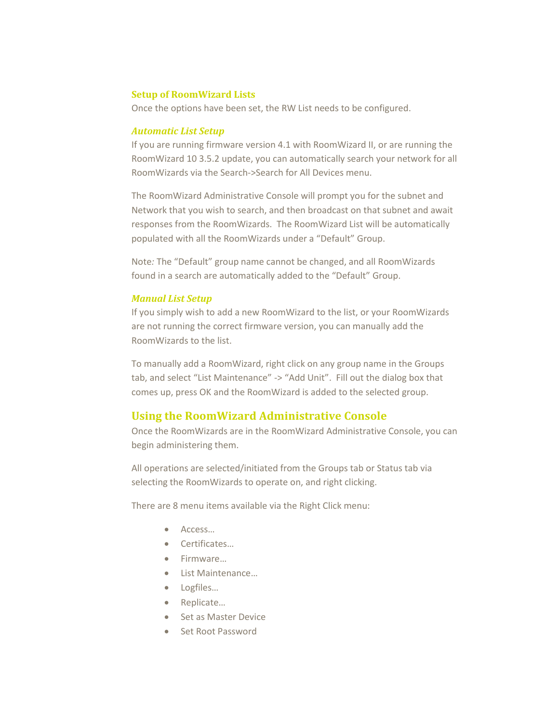### <span id="page-7-0"></span>**Setup of RoomWizard Lists**

Once the options have been set, the RW List needs to be configured.

### *Automatic List Setup*

If you are running firmware version 4.1 with RoomWizard II, or are running the RoomWizard 10 3.5.2 update, you can automatically search your network for all RoomWizards via the Search->Search for All Devices menu.

The RoomWizard Administrative Console will prompt you for the subnet and Network that you wish to search, and then broadcast on that subnet and await responses from the RoomWizards. The RoomWizard List will be automatically populated with all the RoomWizards under a "Default" Group.

Note*:* The "Default" group name cannot be changed, and all RoomWizards found in a search are automatically added to the "Default" Group.

### *Manual List Setup*

If you simply wish to add a new RoomWizard to the list, or your RoomWizards are not running the correct firmware version, you can manually add the RoomWizards to the list.

To manually add a RoomWizard, right click on any group name in the Groups tab, and select "List Maintenance" -> "Add Unit". Fill out the dialog box that comes up, press OK and the RoomWizard is added to the selected group.

# <span id="page-7-1"></span>**Using the RoomWizard Administrative Console**

Once the RoomWizards are in the RoomWizard Administrative Console, you can begin administering them.

All operations are selected/initiated from the Groups tab or Status tab via selecting the RoomWizards to operate on, and right clicking.

There are 8 menu items available via the Right Click menu:

- Access...
- Certificates…
- Firmware…
- List Maintenance…
- Logfiles...
- Replicate...
- Set as Master Device
- Set Root Password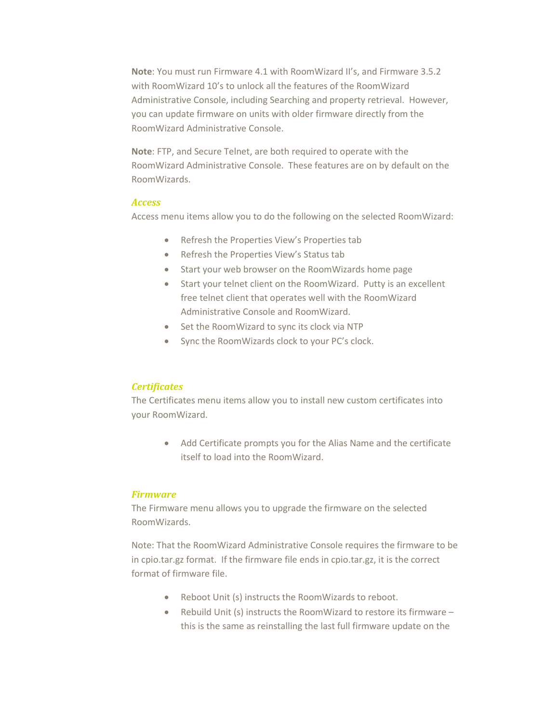**Note**: You must run Firmware 4.1 with RoomWizard II's, and Firmware 3.5.2 with RoomWizard 10's to unlock all the features of the RoomWizard Administrative Console, including Searching and property retrieval. However, you can update firmware on units with older firmware directly from the RoomWizard Administrative Console.

**Note**: FTP, and Secure Telnet, are both required to operate with the RoomWizard Administrative Console. These features are on by default on the RoomWizards.

### *Access*

Access menu items allow you to do the following on the selected RoomWizard:

- Refresh the Properties View's Properties tab
- Refresh the Properties View's Status tab
- Start your web browser on the RoomWizards home page
- Start your telnet client on the RoomWizard. Putty is an excellent free telnet client that operates well with the RoomWizard Administrative Console and RoomWizard.
- Set the RoomWizard to sync its clock via NTP
- Sync the RoomWizards clock to your PC's clock.

### *Certificates*

The Certificates menu items allow you to install new custom certificates into your RoomWizard.

> Add Certificate prompts you for the Alias Name and the certificate itself to load into the RoomWizard.

### *Firmware*

The Firmware menu allows you to upgrade the firmware on the selected RoomWizards.

Note: That the RoomWizard Administrative Console requires the firmware to be in cpio.tar.gz format. If the firmware file ends in cpio.tar.gz, it is the correct format of firmware file.

- Reboot Unit (s) instructs the RoomWizards to reboot.
- Rebuild Unit (s) instructs the RoomWizard to restore its firmware this is the same as reinstalling the last full firmware update on the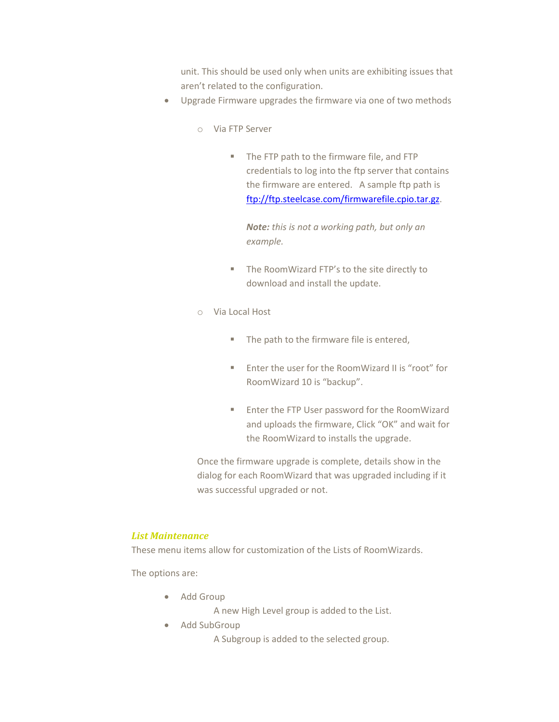unit. This should be used only when units are exhibiting issues that aren't related to the configuration.

- Upgrade Firmware upgrades the firmware via one of two methods
	- o Via FTP Server
		- The FTP path to the firmware file, and FTP credentials to log into the ftp server that contains the firmware are entered. A sample ftp path is [ftp://ftp.steelcase.com/firmwarefile.cpio.tar.gz.](ftp://ftp.steelcase.com/firmwarefile.cpio.tar.gz)

*Note: this is not a working path, but only an example.*

- **The RoomWizard FTP's to the site directly to** download and install the update.
- o Via Local Host
	- The path to the firmware file is entered,
	- Enter the user for the RoomWizard II is "root" for RoomWizard 10 is "backup".
	- **Enter the FTP User password for the RoomWizard** and uploads the firmware, Click "OK" and wait for the RoomWizard to installs the upgrade.

Once the firmware upgrade is complete, details show in the dialog for each RoomWizard that was upgraded including if it was successful upgraded or not.

# *List Maintenance*

These menu items allow for customization of the Lists of RoomWizards.

The options are:

• Add Group

A new High Level group is added to the List.

• Add SubGroup

A Subgroup is added to the selected group.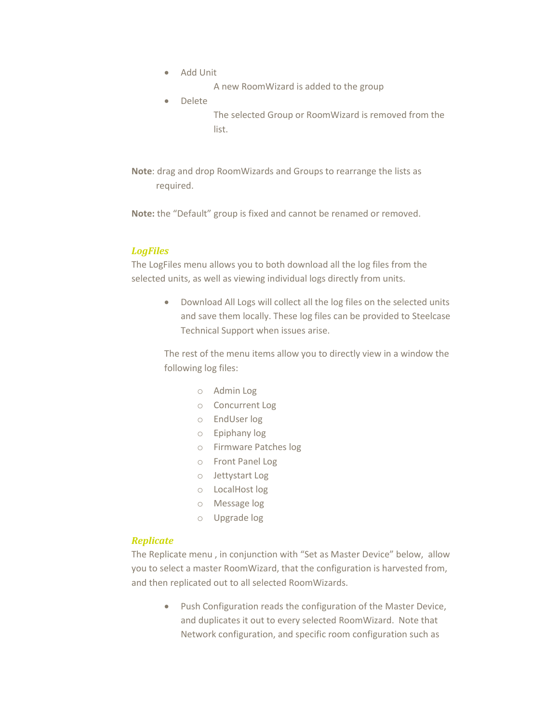- Add Unit
	- A new RoomWizard is added to the group
- Delete

The selected Group or RoomWizard is removed from the list.

**Note**: drag and drop RoomWizards and Groups to rearrange the lists as required.

**Note:** the "Default" group is fixed and cannot be renamed or removed.

### *LogFiles*

The LogFiles menu allows you to both download all the log files from the selected units, as well as viewing individual logs directly from units.

> Download All Logs will collect all the log files on the selected units and save them locally. These log files can be provided to Steelcase Technical Support when issues arise.

> The rest of the menu items allow you to directly view in a window the following log files:

- o Admin Log
- o Concurrent Log
- o EndUser log
- o Epiphany log
- o Firmware Patches log
- o Front Panel Log
- o Jettystart Log
- o LocalHost log
- o Message log
- o Upgrade log

### *Replicate*

The Replicate menu , in conjunction with "Set as Master Device" below, allow you to select a master RoomWizard, that the configuration is harvested from, and then replicated out to all selected RoomWizards.

> • Push Configuration reads the configuration of the Master Device, and duplicates it out to every selected RoomWizard. Note that Network configuration, and specific room configuration such as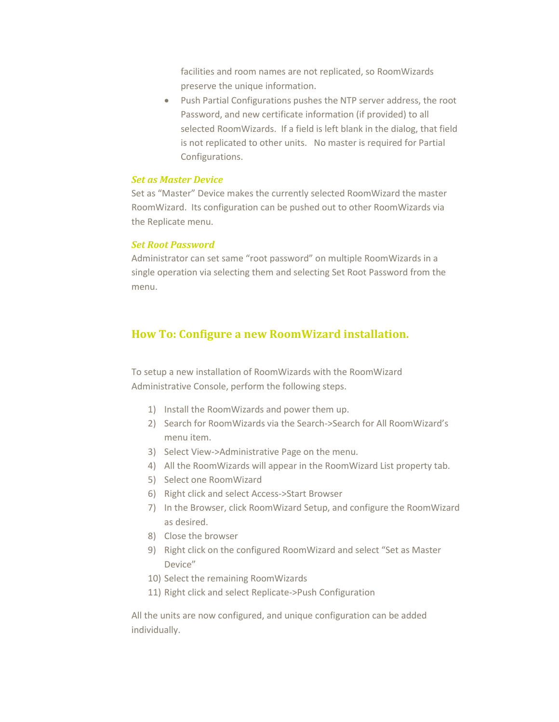facilities and room names are not replicated, so RoomWizards preserve the unique information.

 Push Partial Configurations pushes the NTP server address, the root Password, and new certificate information (if provided) to all selected RoomWizards. If a field is left blank in the dialog, that field is not replicated to other units. No master is required for Partial Configurations.

### *Set as Master Device*

Set as "Master" Device makes the currently selected RoomWizard the master RoomWizard. Its configuration can be pushed out to other RoomWizards via the Replicate menu.

### *Set Root Password*

Administrator can set same "root password" on multiple RoomWizards in a single operation via selecting them and selecting Set Root Password from the menu.

# <span id="page-11-0"></span>**How To: Configure a new RoomWizard installation.**

To setup a new installation of RoomWizards with the RoomWizard Administrative Console, perform the following steps.

- 1) Install the RoomWizards and power them up.
- 2) Search for RoomWizards via the Search->Search for All RoomWizard's menu item.
- 3) Select View->Administrative Page on the menu.
- 4) All the RoomWizards will appear in the RoomWizard List property tab.
- 5) Select one RoomWizard
- 6) Right click and select Access->Start Browser
- 7) In the Browser, click RoomWizard Setup, and configure the RoomWizard as desired.
- 8) Close the browser
- 9) Right click on the configured RoomWizard and select "Set as Master Device"
- 10) Select the remaining RoomWizards
- 11) Right click and select Replicate->Push Configuration

All the units are now configured, and unique configuration can be added individually.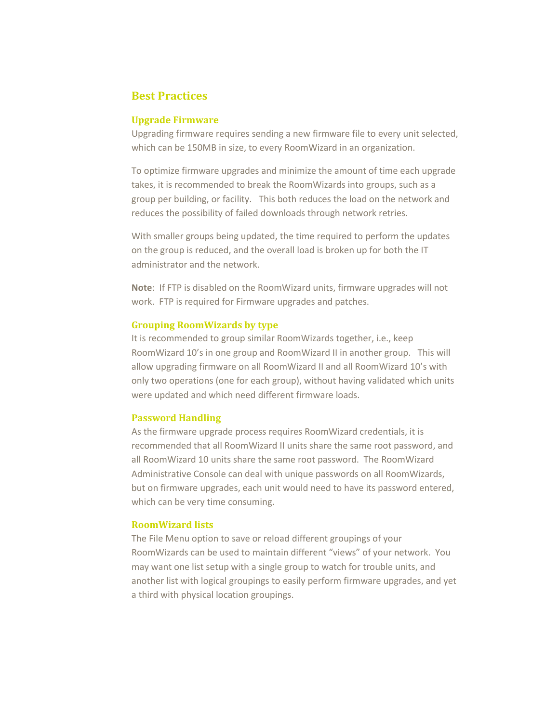# <span id="page-12-0"></span>**Best Practices**

### **Upgrade Firmware**

Upgrading firmware requires sending a new firmware file to every unit selected, which can be 150MB in size, to every RoomWizard in an organization.

To optimize firmware upgrades and minimize the amount of time each upgrade takes, it is recommended to break the RoomWizards into groups, such as a group per building, or facility. This both reduces the load on the network and reduces the possibility of failed downloads through network retries.

With smaller groups being updated, the time required to perform the updates on the group is reduced, and the overall load is broken up for both the IT administrator and the network.

**Note**: If FTP is disabled on the RoomWizard units, firmware upgrades will not work. FTP is required for Firmware upgrades and patches.

### **Grouping RoomWizards by type**

It is recommended to group similar RoomWizards together, i.e., keep RoomWizard 10's in one group and RoomWizard II in another group. This will allow upgrading firmware on all RoomWizard II and all RoomWizard 10's with only two operations (one for each group), without having validated which units were updated and which need different firmware loads.

### **Password Handling**

As the firmware upgrade process requires RoomWizard credentials, it is recommended that all RoomWizard II units share the same root password, and all RoomWizard 10 units share the same root password. The RoomWizard Administrative Console can deal with unique passwords on all RoomWizards, but on firmware upgrades, each unit would need to have its password entered, which can be very time consuming.

### **RoomWizard lists**

The File Menu option to save or reload different groupings of your RoomWizards can be used to maintain different "views" of your network. You may want one list setup with a single group to watch for trouble units, and another list with logical groupings to easily perform firmware upgrades, and yet a third with physical location groupings.